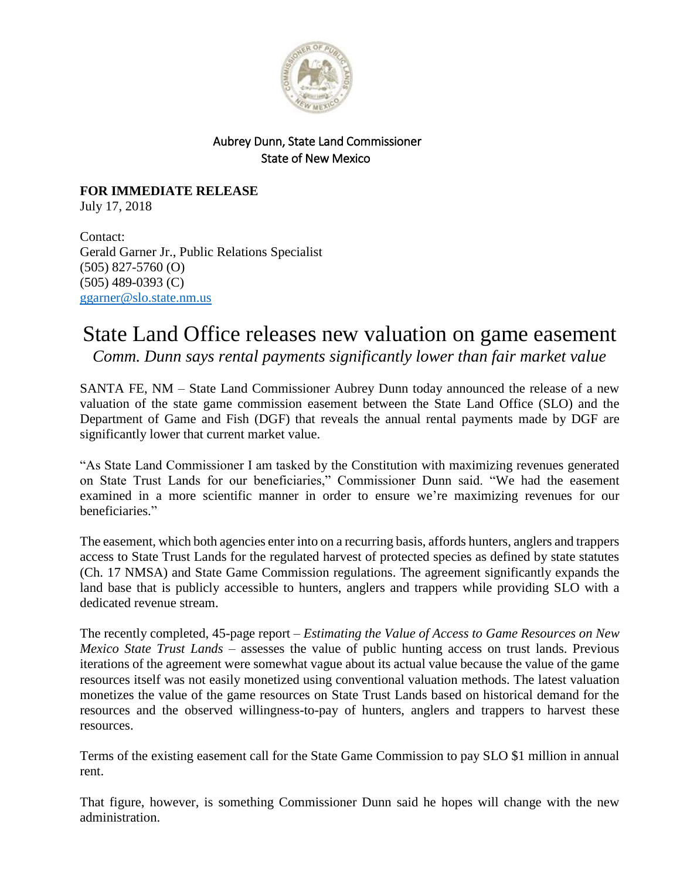

## Aubrey Dunn, State Land Commissioner State of New Mexico

**FOR IMMEDIATE RELEASE** July 17, 2018

Contact: Gerald Garner Jr., Public Relations Specialist (505) 827-5760 (O) (505) 489-0393 (C) [ggarner@slo.state.nm.us](mailto:ggarner@slo.state.nm.us)

## State Land Office releases new valuation on game easement

*Comm. Dunn says rental payments significantly lower than fair market value*

SANTA FE, NM – State Land Commissioner Aubrey Dunn today announced the release of a new valuation of the state game commission easement between the State Land Office (SLO) and the Department of Game and Fish (DGF) that reveals the annual rental payments made by DGF are significantly lower that current market value.

"As State Land Commissioner I am tasked by the Constitution with maximizing revenues generated on State Trust Lands for our beneficiaries," Commissioner Dunn said. "We had the easement examined in a more scientific manner in order to ensure we're maximizing revenues for our beneficiaries."

The easement, which both agencies enter into on a recurring basis, affords hunters, anglers and trappers access to State Trust Lands for the regulated harvest of protected species as defined by state statutes (Ch. 17 NMSA) and State Game Commission regulations. The agreement significantly expands the land base that is publicly accessible to hunters, anglers and trappers while providing SLO with a dedicated revenue stream.

The recently completed, 45-page report – *Estimating the Value of Access to Game Resources on New Mexico State Trust Lands* – assesses the value of public hunting access on trust lands. Previous iterations of the agreement were somewhat vague about its actual value because the value of the game resources itself was not easily monetized using conventional valuation methods. The latest valuation monetizes the value of the game resources on State Trust Lands based on historical demand for the resources and the observed willingness-to-pay of hunters, anglers and trappers to harvest these resources.

Terms of the existing easement call for the State Game Commission to pay SLO \$1 million in annual rent.

That figure, however, is something Commissioner Dunn said he hopes will change with the new administration.